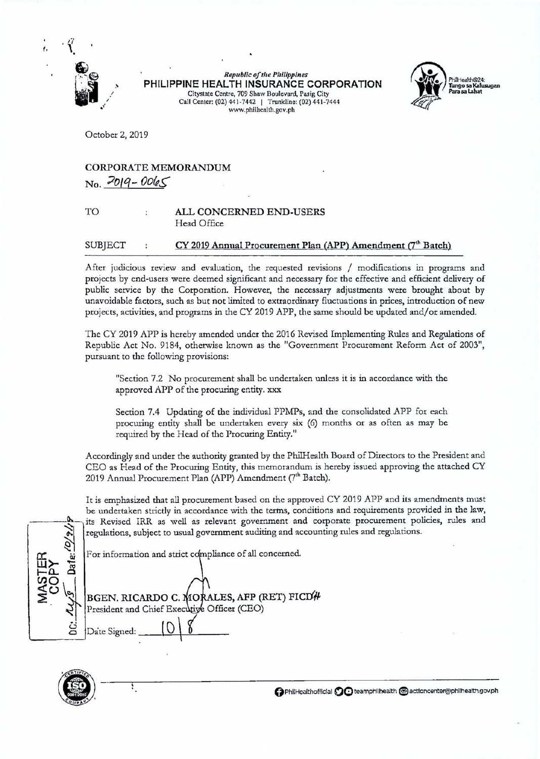

**Republic of the Philippines PHILIPPINE HEALTH INSURANCE CORPORATION**  Citystate Centre, 709 Shaw Boulevard, Pasig City Call Center: (02) 441-7442 | Trunkline: (02) 441-7444 www.philhealth.gov.ph



October 2, 2019

# CORPORATE MEMORANDUM  $N_0$ ,  $2019 - 0065$

### TO ALL CONCERNED END-USERS Head Office

## SUBJECT : CY 2019 Annual Procurement Plan (APP) Amendment (7<sup>th</sup> Batch)

After judicious review and evaluation, the requested revisions / modifications in programs and projects by end-users were deemed significant and necessary for the effective and efficient delivery of public service by the Corporation. However, the necessary adjustments were brought about by unavoidable factors, such as but not limited to extraordinary fluctuations in prices, introduction of new projects, activities, and programs in the CY 2019 APP, the same should be updated and/or amended.

The CY 2019 APP is hereby amended under the 2016 Revised Implementing Rules and Regulations of Republic Act No. 9184, otherwise known as the "Government Procurement Reform Act of 2003", pursuant to the following provisions:

"Section 7.2 No procurement shall be undertaken unless it is in accordance with the approved APP of the procuring entity. xxx

Section 7.4 Updating of the individual PPMPs, and the consolidated APP for each procuring entity shall be undertaken every six (6) months or as often as may be requited by the Head of the Procuring Entity."

Accordingly and under the authority granted by the PhilHealth Board of Directors to the President and CEO as Head of the Procuring Entity, this memorandum is hereby issued approving the attached CY 2019 Annual Procurement Plan (APP) Amendment (7'h Batch).

It is emphasized that all procurement based on the approved CY 2019 APP and its amendments must be undertaken strictly in accordance with the terms, conditions and requirements provided in the law, its Revised IRR as well as relevant government and corporate procurement policies, rules and regulations, subject to usual government auditing and accounting rules and regulations.

For information and strict compliance of all concerned.

| BGEN. RICARDO C. MORALES, AFP (RET) FICD#<br>President and Chief Executive Officer (CEO) |
|------------------------------------------------------------------------------------------|
| Date Signed:                                                                             |



÷,

**0** PhiiHealthofficlal **00** teamphllhealth **1§1** acttoncenter@philhealttl.gov.ph